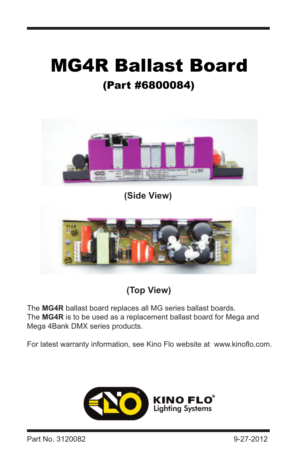# MG4R Ballast Board (Part #6800084)



**(Side View)**



**(Top View)**

The **MG4R** ballast board replaces all MG series ballast boards. The **MG4R** is to be used as a replacement ballast board for Mega and Mega 4Bank DMX series products.

For latest warranty information, see Kino Flo website at www.kinoflo.com.

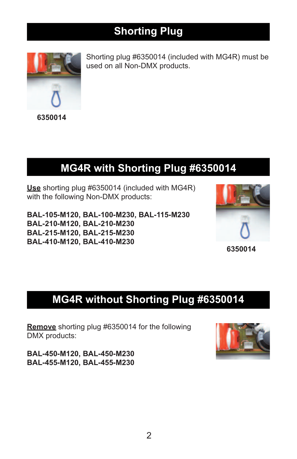### **Shorting Plug**



Shorting plug #6350014 (included with MG4R) must be used on all Non-DMX products.

**6350014**

### **MG4R with Shorting Plug #6350014**

**Use** shorting plug #6350014 (included with MG4R) with the following Non-DMX products:

**BAL-105-M120, BAL-100-M230, BAL-115-M230 BAL-210-M120, BAL-210-M230 BAL-215-M120, BAL-215-M230 BAL-410-M120, BAL-410-M230**



**6350014**

## **MG4R without Shorting Plug #6350014**

**Remove** shorting plug #6350014 for the following DMX products:

**BAL-450-M120, BAL-450-M230 BAL-455-M120, BAL-455-M230**

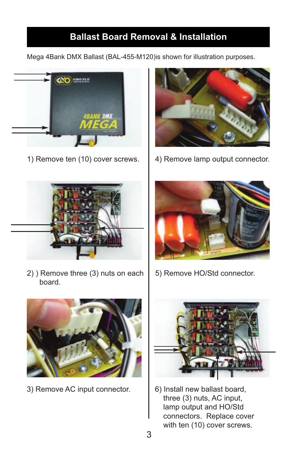#### **Ballast Board Removal & Installation**

Mega 4Bank DMX Ballast (BAL-455-M120)is shown for illustration purposes.





1) Remove ten (10) cover screws.  $\begin{vmatrix} 4 \end{vmatrix}$  Remove lamp output connector.



2) ) Remove three (3) nuts on each board.



3) Remove AC input connector. | 6) Install new ballast board,



5) Remove HO/Std connector.



three (3) nuts, AC input, lamp output and HO/Std connectors. Replace cover with ten (10) cover screws.